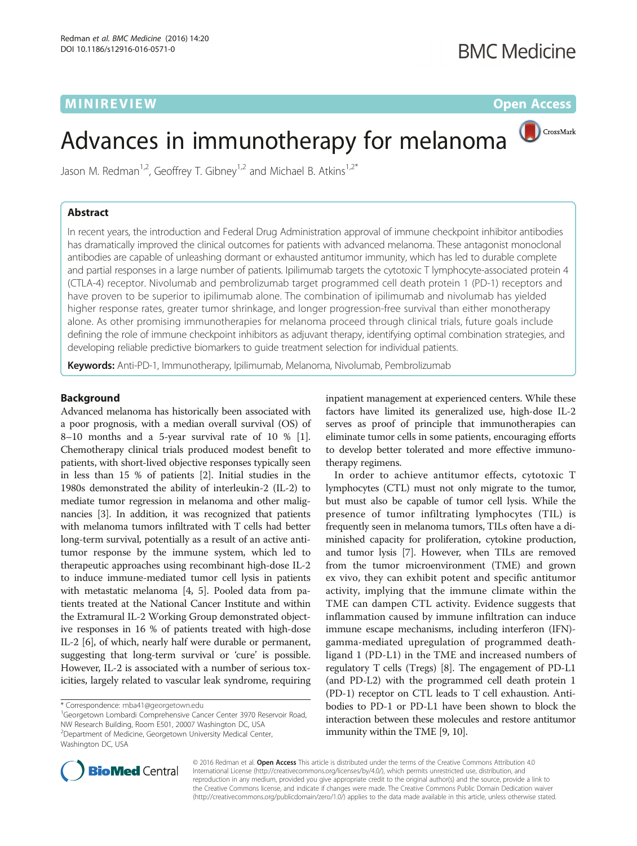# MINIREVIEW **CONTROLLER IN THE EXISTENCE OF A SET OF A SET OF A SET OF A SET OF A SET OF A SET OF A SET OF A SET OF A SET OF A SET OF A SET OF A SET OF A SET OF A SET OF A SET OF A SET OF A SET OF A SET OF A SET OF A SET OF**

CrossMark

# Advances in immunotherapy for melanoma

Jason M. Redman<sup>1,2</sup>, Geoffrey T. Gibney<sup>1,2</sup> and Michael B. Atkins<sup>1,2\*</sup>

## Abstract

In recent years, the introduction and Federal Drug Administration approval of immune checkpoint inhibitor antibodies has dramatically improved the clinical outcomes for patients with advanced melanoma. These antagonist monoclonal antibodies are capable of unleashing dormant or exhausted antitumor immunity, which has led to durable complete and partial responses in a large number of patients. Ipilimumab targets the cytotoxic T lymphocyte-associated protein 4 (CTLA-4) receptor. Nivolumab and pembrolizumab target programmed cell death protein 1 (PD-1) receptors and have proven to be superior to ipilimumab alone. The combination of ipilimumab and nivolumab has yielded higher response rates, greater tumor shrinkage, and longer progression-free survival than either monotherapy alone. As other promising immunotherapies for melanoma proceed through clinical trials, future goals include defining the role of immune checkpoint inhibitors as adjuvant therapy, identifying optimal combination strategies, and developing reliable predictive biomarkers to guide treatment selection for individual patients.

Keywords: Anti-PD-1, Immunotherapy, Ipilimumab, Melanoma, Nivolumab, Pembrolizumab

#### Background

Advanced melanoma has historically been associated with a poor prognosis, with a median overall survival (OS) of 8–10 months and a 5-year survival rate of 10 % [[1](#page-8-0)]. Chemotherapy clinical trials produced modest benefit to patients, with short-lived objective responses typically seen in less than 15 % of patients [[2](#page-8-0)]. Initial studies in the 1980s demonstrated the ability of interleukin-2 (IL-2) to mediate tumor regression in melanoma and other malignancies [\[3\]](#page-8-0). In addition, it was recognized that patients with melanoma tumors infiltrated with T cells had better long-term survival, potentially as a result of an active antitumor response by the immune system, which led to therapeutic approaches using recombinant high-dose IL-2 to induce immune-mediated tumor cell lysis in patients with metastatic melanoma [[4, 5](#page-8-0)]. Pooled data from patients treated at the National Cancer Institute and within the Extramural IL-2 Working Group demonstrated objective responses in 16 % of patients treated with high-dose IL-2 [[6\]](#page-8-0), of which, nearly half were durable or permanent, suggesting that long-term survival or 'cure' is possible. However, IL-2 is associated with a number of serious toxicities, largely related to vascular leak syndrome, requiring

<sup>1</sup>Georgetown Lombardi Comprehensive Cancer Center 3970 Reservoir Road, NW Research Building, Room E501, 20007 Washington DC, USA <sup>2</sup> Department of Medicine, Georgetown University Medical Center, Washington DC, USA

inpatient management at experienced centers. While these factors have limited its generalized use, high-dose IL-2 serves as proof of principle that immunotherapies can eliminate tumor cells in some patients, encouraging efforts to develop better tolerated and more effective immunotherapy regimens.

In order to achieve antitumor effects, cytotoxic T lymphocytes (CTL) must not only migrate to the tumor, but must also be capable of tumor cell lysis. While the presence of tumor infiltrating lymphocytes (TIL) is frequently seen in melanoma tumors, TILs often have a diminished capacity for proliferation, cytokine production, and tumor lysis [\[7\]](#page-8-0). However, when TILs are removed from the tumor microenvironment (TME) and grown ex vivo, they can exhibit potent and specific antitumor activity, implying that the immune climate within the TME can dampen CTL activity. Evidence suggests that inflammation caused by immune infiltration can induce immune escape mechanisms, including interferon (IFN) gamma-mediated upregulation of programmed deathligand 1 (PD-L1) in the TME and increased numbers of regulatory T cells (Tregs) [\[8](#page-8-0)]. The engagement of PD-L1 (and PD-L2) with the programmed cell death protein 1 (PD-1) receptor on CTL leads to T cell exhaustion. Antibodies to PD-1 or PD-L1 have been shown to block the interaction between these molecules and restore antitumor immunity within the TME [[9](#page-8-0), [10](#page-8-0)].



© 2016 Redman et al. Open Access This article is distributed under the terms of the Creative Commons Attribution 4.0 International License [\(http://creativecommons.org/licenses/by/4.0/](http://creativecommons.org/licenses/by/4.0/)), which permits unrestricted use, distribution, and reproduction in any medium, provided you give appropriate credit to the original author(s) and the source, provide a link to the Creative Commons license, and indicate if changes were made. The Creative Commons Public Domain Dedication waiver [\(http://creativecommons.org/publicdomain/zero/1.0/](http://creativecommons.org/publicdomain/zero/1.0/)) applies to the data made available in this article, unless otherwise stated.

<sup>\*</sup> Correspondence: [mba41@georgetown.edu](mailto:mba41@georgetown.edu) <sup>1</sup>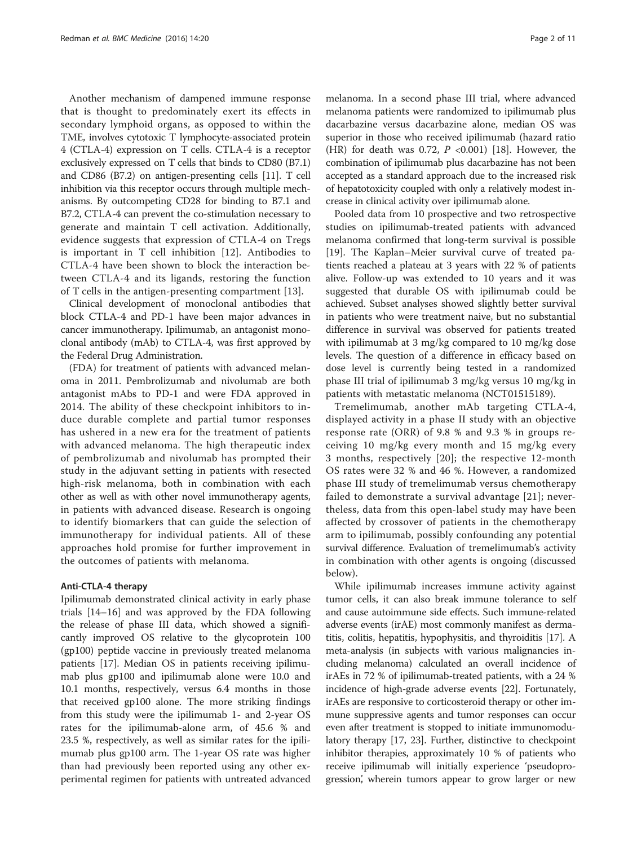Another mechanism of dampened immune response that is thought to predominately exert its effects in secondary lymphoid organs, as opposed to within the TME, involves cytotoxic T lymphocyte-associated protein 4 (CTLA-4) expression on T cells. CTLA-4 is a receptor exclusively expressed on T cells that binds to CD80 (B7.1) and CD86 (B7.2) on antigen-presenting cells [\[11](#page-8-0)]. T cell inhibition via this receptor occurs through multiple mechanisms. By outcompeting CD28 for binding to B7.1 and B7.2, CTLA-4 can prevent the co-stimulation necessary to generate and maintain T cell activation. Additionally, evidence suggests that expression of CTLA-4 on Tregs is important in T cell inhibition [\[12](#page-8-0)]. Antibodies to CTLA-4 have been shown to block the interaction between CTLA-4 and its ligands, restoring the function of T cells in the antigen-presenting compartment [[13\]](#page-8-0).

Clinical development of monoclonal antibodies that block CTLA-4 and PD-1 have been major advances in cancer immunotherapy. Ipilimumab, an antagonist monoclonal antibody (mAb) to CTLA-4, was first approved by the Federal Drug Administration.

(FDA) for treatment of patients with advanced melanoma in 2011. Pembrolizumab and nivolumab are both antagonist mAbs to PD-1 and were FDA approved in 2014. The ability of these checkpoint inhibitors to induce durable complete and partial tumor responses has ushered in a new era for the treatment of patients with advanced melanoma. The high therapeutic index of pembrolizumab and nivolumab has prompted their study in the adjuvant setting in patients with resected high-risk melanoma, both in combination with each other as well as with other novel immunotherapy agents, in patients with advanced disease. Research is ongoing to identify biomarkers that can guide the selection of immunotherapy for individual patients. All of these approaches hold promise for further improvement in the outcomes of patients with melanoma.

#### Anti-CTLA-4 therapy

Ipilimumab demonstrated clinical activity in early phase trials [\[14](#page-8-0)–[16\]](#page-8-0) and was approved by the FDA following the release of phase III data, which showed a significantly improved OS relative to the glycoprotein 100 (gp100) peptide vaccine in previously treated melanoma patients [\[17](#page-8-0)]. Median OS in patients receiving ipilimumab plus gp100 and ipilimumab alone were 10.0 and 10.1 months, respectively, versus 6.4 months in those that received gp100 alone. The more striking findings from this study were the ipilimumab 1- and 2-year OS rates for the ipilimumab-alone arm, of 45.6 % and 23.5 %, respectively, as well as similar rates for the ipilimumab plus gp100 arm. The 1-year OS rate was higher than had previously been reported using any other experimental regimen for patients with untreated advanced

melanoma. In a second phase III trial, where advanced melanoma patients were randomized to ipilimumab plus dacarbazine versus dacarbazine alone, median OS was superior in those who received ipilimumab (hazard ratio (HR) for death was 0.72,  $P$  <0.001) [[18](#page-8-0)]. However, the combination of ipilimumab plus dacarbazine has not been accepted as a standard approach due to the increased risk of hepatotoxicity coupled with only a relatively modest increase in clinical activity over ipilimumab alone.

Pooled data from 10 prospective and two retrospective studies on ipilimumab-treated patients with advanced melanoma confirmed that long-term survival is possible [[19\]](#page-8-0). The Kaplan–Meier survival curve of treated patients reached a plateau at 3 years with 22 % of patients alive. Follow-up was extended to 10 years and it was suggested that durable OS with ipilimumab could be achieved. Subset analyses showed slightly better survival in patients who were treatment naive, but no substantial difference in survival was observed for patients treated with ipilimumab at 3 mg/kg compared to 10 mg/kg dose levels. The question of a difference in efficacy based on dose level is currently being tested in a randomized phase III trial of ipilimumab 3 mg/kg versus 10 mg/kg in patients with metastatic melanoma (NCT01515189).

Tremelimumab, another mAb targeting CTLA-4, displayed activity in a phase II study with an objective response rate (ORR) of 9.8 % and 9.3 % in groups receiving 10 mg/kg every month and 15 mg/kg every 3 months, respectively [\[20](#page-8-0)]; the respective 12-month OS rates were 32 % and 46 %. However, a randomized phase III study of tremelimumab versus chemotherapy failed to demonstrate a survival advantage [[21\]](#page-8-0); nevertheless, data from this open-label study may have been affected by crossover of patients in the chemotherapy arm to ipilimumab, possibly confounding any potential survival difference. Evaluation of tremelimumab's activity in combination with other agents is ongoing (discussed below).

While ipilimumab increases immune activity against tumor cells, it can also break immune tolerance to self and cause autoimmune side effects. Such immune-related adverse events (irAE) most commonly manifest as dermatitis, colitis, hepatitis, hypophysitis, and thyroiditis [[17](#page-8-0)]. A meta-analysis (in subjects with various malignancies including melanoma) calculated an overall incidence of irAEs in 72 % of ipilimumab-treated patients, with a 24 % incidence of high-grade adverse events [\[22\]](#page-9-0). Fortunately, irAEs are responsive to corticosteroid therapy or other immune suppressive agents and tumor responses can occur even after treatment is stopped to initiate immunomodulatory therapy [\[17,](#page-8-0) [23\]](#page-9-0). Further, distinctive to checkpoint inhibitor therapies, approximately 10 % of patients who receive ipilimumab will initially experience 'pseudoprogression', wherein tumors appear to grow larger or new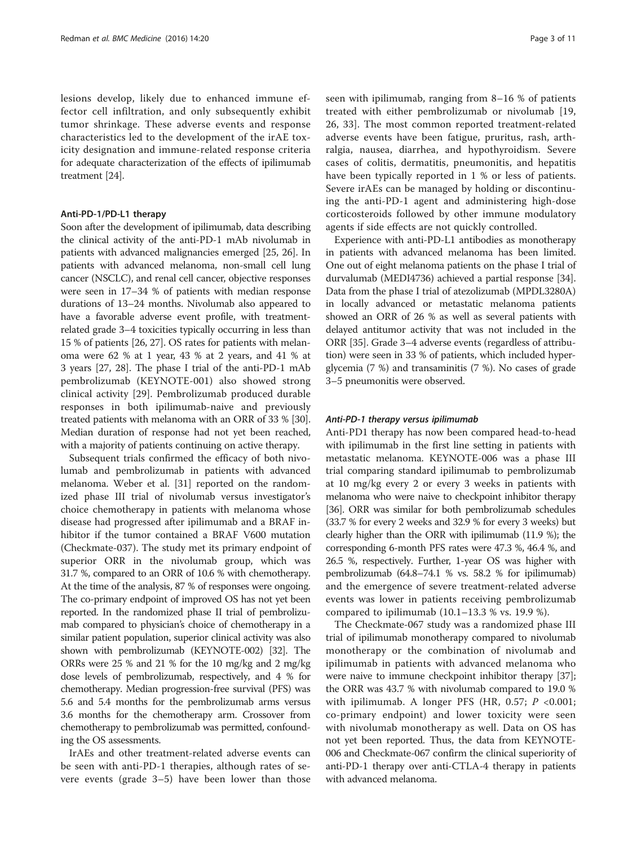lesions develop, likely due to enhanced immune effector cell infiltration, and only subsequently exhibit tumor shrinkage. These adverse events and response characteristics led to the development of the irAE toxicity designation and immune-related response criteria for adequate characterization of the effects of ipilimumab treatment [\[24](#page-9-0)].

#### Anti-PD-1/PD-L1 therapy

Soon after the development of ipilimumab, data describing the clinical activity of the anti-PD-1 mAb nivolumab in patients with advanced malignancies emerged [[25](#page-9-0), [26](#page-9-0)]. In patients with advanced melanoma, non-small cell lung cancer (NSCLC), and renal cell cancer, objective responses were seen in 17–34 % of patients with median response durations of 13–24 months. Nivolumab also appeared to have a favorable adverse event profile, with treatmentrelated grade 3–4 toxicities typically occurring in less than 15 % of patients [\[26, 27\]](#page-9-0). OS rates for patients with melanoma were 62 % at 1 year, 43 % at 2 years, and 41 % at 3 years [\[27, 28](#page-9-0)]. The phase I trial of the anti-PD-1 mAb pembrolizumab (KEYNOTE-001) also showed strong clinical activity [\[29](#page-9-0)]. Pembrolizumab produced durable responses in both ipilimumab-naive and previously treated patients with melanoma with an ORR of 33 % [[30](#page-9-0)]. Median duration of response had not yet been reached, with a majority of patients continuing on active therapy.

Subsequent trials confirmed the efficacy of both nivolumab and pembrolizumab in patients with advanced melanoma. Weber et al. [\[31](#page-9-0)] reported on the randomized phase III trial of nivolumab versus investigator's choice chemotherapy in patients with melanoma whose disease had progressed after ipilimumab and a BRAF inhibitor if the tumor contained a BRAF V600 mutation (Checkmate-037). The study met its primary endpoint of superior ORR in the nivolumab group, which was 31.7 %, compared to an ORR of 10.6 % with chemotherapy. At the time of the analysis, 87 % of responses were ongoing. The co-primary endpoint of improved OS has not yet been reported. In the randomized phase II trial of pembrolizumab compared to physician's choice of chemotherapy in a similar patient population, superior clinical activity was also shown with pembrolizumab (KEYNOTE-002) [[32](#page-9-0)]. The ORRs were 25 % and 21 % for the 10 mg/kg and 2 mg/kg dose levels of pembrolizumab, respectively, and 4 % for chemotherapy. Median progression-free survival (PFS) was 5.6 and 5.4 months for the pembrolizumab arms versus 3.6 months for the chemotherapy arm. Crossover from chemotherapy to pembrolizumab was permitted, confounding the OS assessments.

IrAEs and other treatment-related adverse events can be seen with anti-PD-1 therapies, although rates of severe events (grade 3–5) have been lower than those seen with ipilimumab, ranging from 8–16 % of patients treated with either pembrolizumab or nivolumab [\[19](#page-8-0), [26, 33\]](#page-9-0). The most common reported treatment-related adverse events have been fatigue, pruritus, rash, arthralgia, nausea, diarrhea, and hypothyroidism. Severe cases of colitis, dermatitis, pneumonitis, and hepatitis have been typically reported in 1 % or less of patients. Severe irAEs can be managed by holding or discontinuing the anti-PD-1 agent and administering high-dose corticosteroids followed by other immune modulatory agents if side effects are not quickly controlled.

Experience with anti-PD-L1 antibodies as monotherapy in patients with advanced melanoma has been limited. One out of eight melanoma patients on the phase I trial of durvalumab (MEDI4736) achieved a partial response [[34](#page-9-0)]. Data from the phase I trial of atezolizumab (MPDL3280A) in locally advanced or metastatic melanoma patients showed an ORR of 26 % as well as several patients with delayed antitumor activity that was not included in the ORR [[35](#page-9-0)]. Grade 3–4 adverse events (regardless of attribution) were seen in 33 % of patients, which included hyperglycemia (7 %) and transaminitis (7 %). No cases of grade 3–5 pneumonitis were observed.

#### Anti-PD-1 therapy versus ipilimumab

Anti-PD1 therapy has now been compared head-to-head with ipilimumab in the first line setting in patients with metastatic melanoma. KEYNOTE-006 was a phase III trial comparing standard ipilimumab to pembrolizumab at 10 mg/kg every 2 or every 3 weeks in patients with melanoma who were naive to checkpoint inhibitor therapy [[36](#page-9-0)]. ORR was similar for both pembrolizumab schedules (33.7 % for every 2 weeks and 32.9 % for every 3 weeks) but clearly higher than the ORR with ipilimumab (11.9 %); the corresponding 6-month PFS rates were 47.3 %, 46.4 %, and 26.5 %, respectively. Further, 1-year OS was higher with pembrolizumab (64.8–74.1 % vs. 58.2 % for ipilimumab) and the emergence of severe treatment-related adverse events was lower in patients receiving pembrolizumab compared to ipilimumab (10.1–13.3 % vs. 19.9 %).

The Checkmate-067 study was a randomized phase III trial of ipilimumab monotherapy compared to nivolumab monotherapy or the combination of nivolumab and ipilimumab in patients with advanced melanoma who were naive to immune checkpoint inhibitor therapy [[37](#page-9-0)]; the ORR was 43.7 % with nivolumab compared to 19.0 % with ipilimumab. A longer PFS (HR, 0.57;  $P < 0.001$ ; co-primary endpoint) and lower toxicity were seen with nivolumab monotherapy as well. Data on OS has not yet been reported. Thus, the data from KEYNOTE-006 and Checkmate-067 confirm the clinical superiority of anti-PD-1 therapy over anti-CTLA-4 therapy in patients with advanced melanoma.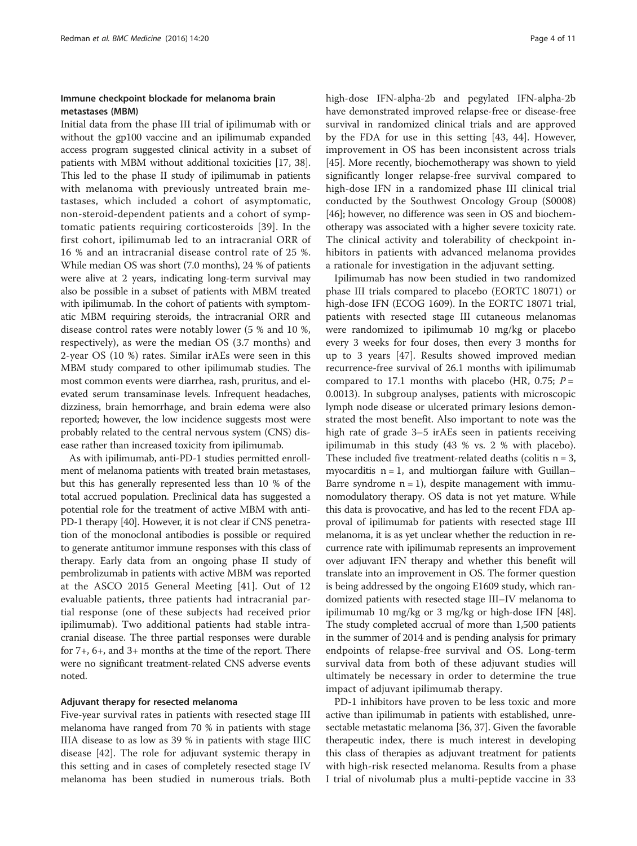## Immune checkpoint blockade for melanoma brain metastases (MBM)

Initial data from the phase III trial of ipilimumab with or without the gp100 vaccine and an ipilimumab expanded access program suggested clinical activity in a subset of patients with MBM without additional toxicities [\[17](#page-8-0), [38](#page-9-0)]. This led to the phase II study of ipilimumab in patients with melanoma with previously untreated brain metastases, which included a cohort of asymptomatic, non-steroid-dependent patients and a cohort of symptomatic patients requiring corticosteroids [\[39](#page-9-0)]. In the first cohort, ipilimumab led to an intracranial ORR of 16 % and an intracranial disease control rate of 25 %. While median OS was short (7.0 months), 24 % of patients were alive at 2 years, indicating long-term survival may also be possible in a subset of patients with MBM treated with ipilimumab. In the cohort of patients with symptomatic MBM requiring steroids, the intracranial ORR and disease control rates were notably lower (5 % and 10 %, respectively), as were the median OS (3.7 months) and 2-year OS (10 %) rates. Similar irAEs were seen in this MBM study compared to other ipilimumab studies. The most common events were diarrhea, rash, pruritus, and elevated serum transaminase levels. Infrequent headaches, dizziness, brain hemorrhage, and brain edema were also reported; however, the low incidence suggests most were probably related to the central nervous system (CNS) disease rather than increased toxicity from ipilimumab.

As with ipilimumab, anti-PD-1 studies permitted enrollment of melanoma patients with treated brain metastases, but this has generally represented less than 10 % of the total accrued population. Preclinical data has suggested a potential role for the treatment of active MBM with anti-PD-1 therapy [[40](#page-9-0)]. However, it is not clear if CNS penetration of the monoclonal antibodies is possible or required to generate antitumor immune responses with this class of therapy. Early data from an ongoing phase II study of pembrolizumab in patients with active MBM was reported at the ASCO 2015 General Meeting [\[41](#page-9-0)]. Out of 12 evaluable patients, three patients had intracranial partial response (one of these subjects had received prior ipilimumab). Two additional patients had stable intracranial disease. The three partial responses were durable for 7+, 6+, and 3+ months at the time of the report. There were no significant treatment-related CNS adverse events noted.

#### Adjuvant therapy for resected melanoma

Five-year survival rates in patients with resected stage III melanoma have ranged from 70 % in patients with stage IIIA disease to as low as 39 % in patients with stage IIIC disease [[42\]](#page-9-0). The role for adjuvant systemic therapy in this setting and in cases of completely resected stage IV melanoma has been studied in numerous trials. Both high-dose IFN-alpha-2b and pegylated IFN-alpha-2b have demonstrated improved relapse-free or disease-free survival in randomized clinical trials and are approved by the FDA for use in this setting [[43](#page-9-0), [44\]](#page-9-0). However, improvement in OS has been inconsistent across trials [[45](#page-9-0)]. More recently, biochemotherapy was shown to yield significantly longer relapse-free survival compared to high-dose IFN in a randomized phase III clinical trial conducted by the Southwest Oncology Group (S0008) [[46](#page-9-0)]; however, no difference was seen in OS and biochemotherapy was associated with a higher severe toxicity rate. The clinical activity and tolerability of checkpoint inhibitors in patients with advanced melanoma provides a rationale for investigation in the adjuvant setting.

Ipilimumab has now been studied in two randomized phase III trials compared to placebo (EORTC 18071) or high-dose IFN (ECOG 1609). In the EORTC 18071 trial, patients with resected stage III cutaneous melanomas were randomized to ipilimumab 10 mg/kg or placebo every 3 weeks for four doses, then every 3 months for up to 3 years [\[47](#page-9-0)]. Results showed improved median recurrence-free survival of 26.1 months with ipilimumab compared to 17.1 months with placebo (HR, 0.75;  $P =$ 0.0013). In subgroup analyses, patients with microscopic lymph node disease or ulcerated primary lesions demonstrated the most benefit. Also important to note was the high rate of grade 3–5 irAEs seen in patients receiving ipilimumab in this study (43 % vs. 2 % with placebo). These included five treatment-related deaths (colitis  $n = 3$ , myocarditis  $n = 1$ , and multiorgan failure with Guillan– Barre syndrome  $n = 1$ ), despite management with immunomodulatory therapy. OS data is not yet mature. While this data is provocative, and has led to the recent FDA approval of ipilimumab for patients with resected stage III melanoma, it is as yet unclear whether the reduction in recurrence rate with ipilimumab represents an improvement over adjuvant IFN therapy and whether this benefit will translate into an improvement in OS. The former question is being addressed by the ongoing E1609 study, which randomized patients with resected stage III–IV melanoma to ipilimumab 10 mg/kg or 3 mg/kg or high-dose IFN [[48](#page-9-0)]. The study completed accrual of more than 1,500 patients in the summer of 2014 and is pending analysis for primary endpoints of relapse-free survival and OS. Long-term survival data from both of these adjuvant studies will ultimately be necessary in order to determine the true impact of adjuvant ipilimumab therapy.

PD-1 inhibitors have proven to be less toxic and more active than ipilimumab in patients with established, unresectable metastatic melanoma [[36](#page-9-0), [37](#page-9-0)]. Given the favorable therapeutic index, there is much interest in developing this class of therapies as adjuvant treatment for patients with high-risk resected melanoma. Results from a phase I trial of nivolumab plus a multi-peptide vaccine in 33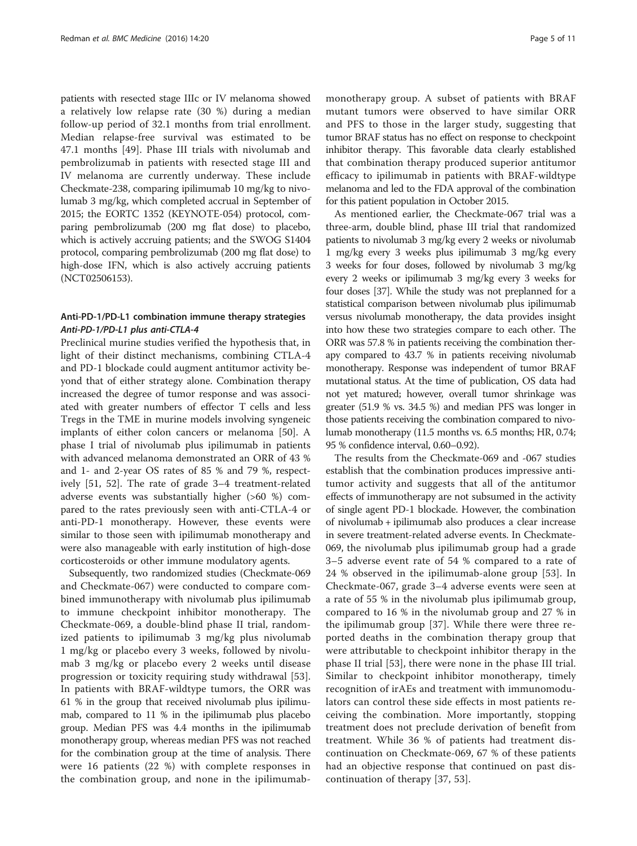patients with resected stage IIIc or IV melanoma showed a relatively low relapse rate (30 %) during a median follow-up period of 32.1 months from trial enrollment. Median relapse-free survival was estimated to be 47.1 months [\[49](#page-9-0)]. Phase III trials with nivolumab and pembrolizumab in patients with resected stage III and IV melanoma are currently underway. These include Checkmate-238, comparing ipilimumab 10 mg/kg to nivolumab 3 mg/kg, which completed accrual in September of 2015; the EORTC 1352 (KEYNOTE-054) protocol, comparing pembrolizumab (200 mg flat dose) to placebo, which is actively accruing patients; and the SWOG S1404 protocol, comparing pembrolizumab (200 mg flat dose) to high-dose IFN, which is also actively accruing patients (NCT02506153).

## Anti-PD-1/PD-L1 combination immune therapy strategies Anti-PD-1/PD-L1 plus anti-CTLA-4

Preclinical murine studies verified the hypothesis that, in light of their distinct mechanisms, combining CTLA-4 and PD-1 blockade could augment antitumor activity beyond that of either strategy alone. Combination therapy increased the degree of tumor response and was associated with greater numbers of effector T cells and less Tregs in the TME in murine models involving syngeneic implants of either colon cancers or melanoma [[50\]](#page-9-0). A phase I trial of nivolumab plus ipilimumab in patients with advanced melanoma demonstrated an ORR of 43 % and 1- and 2-year OS rates of 85 % and 79 %, respectively [[51, 52](#page-9-0)]. The rate of grade 3–4 treatment-related adverse events was substantially higher (>60 %) compared to the rates previously seen with anti-CTLA-4 or anti-PD-1 monotherapy. However, these events were similar to those seen with ipilimumab monotherapy and were also manageable with early institution of high-dose corticosteroids or other immune modulatory agents.

Subsequently, two randomized studies (Checkmate-069 and Checkmate-067) were conducted to compare combined immunotherapy with nivolumab plus ipilimumab to immune checkpoint inhibitor monotherapy. The Checkmate-069, a double-blind phase II trial, randomized patients to ipilimumab 3 mg/kg plus nivolumab 1 mg/kg or placebo every 3 weeks, followed by nivolumab 3 mg/kg or placebo every 2 weeks until disease progression or toxicity requiring study withdrawal [[53](#page-9-0)]. In patients with BRAF-wildtype tumors, the ORR was 61 % in the group that received nivolumab plus ipilimumab, compared to 11 % in the ipilimumab plus placebo group. Median PFS was 4.4 months in the ipilimumab monotherapy group, whereas median PFS was not reached for the combination group at the time of analysis. There were 16 patients (22 %) with complete responses in the combination group, and none in the ipilimumab-

monotherapy group. A subset of patients with BRAF mutant tumors were observed to have similar ORR and PFS to those in the larger study, suggesting that tumor BRAF status has no effect on response to checkpoint inhibitor therapy. This favorable data clearly established that combination therapy produced superior antitumor efficacy to ipilimumab in patients with BRAF-wildtype melanoma and led to the FDA approval of the combination for this patient population in October 2015.

As mentioned earlier, the Checkmate-067 trial was a three-arm, double blind, phase III trial that randomized patients to nivolumab 3 mg/kg every 2 weeks or nivolumab 1 mg/kg every 3 weeks plus ipilimumab 3 mg/kg every 3 weeks for four doses, followed by nivolumab 3 mg/kg every 2 weeks or ipilimumab 3 mg/kg every 3 weeks for four doses [\[37\]](#page-9-0). While the study was not preplanned for a statistical comparison between nivolumab plus ipilimumab versus nivolumab monotherapy, the data provides insight into how these two strategies compare to each other. The ORR was 57.8 % in patients receiving the combination therapy compared to 43.7 % in patients receiving nivolumab monotherapy. Response was independent of tumor BRAF mutational status. At the time of publication, OS data had not yet matured; however, overall tumor shrinkage was greater (51.9 % vs. 34.5 %) and median PFS was longer in those patients receiving the combination compared to nivolumab monotherapy (11.5 months vs. 6.5 months; HR, 0.74; 95 % confidence interval, 0.60–0.92).

The results from the Checkmate-069 and -067 studies establish that the combination produces impressive antitumor activity and suggests that all of the antitumor effects of immunotherapy are not subsumed in the activity of single agent PD-1 blockade. However, the combination of nivolumab + ipilimumab also produces a clear increase in severe treatment-related adverse events. In Checkmate-069, the nivolumab plus ipilimumab group had a grade 3–5 adverse event rate of 54 % compared to a rate of 24 % observed in the ipilimumab-alone group [\[53](#page-9-0)]. In Checkmate-067, grade 3–4 adverse events were seen at a rate of 55 % in the nivolumab plus ipilimumab group, compared to 16 % in the nivolumab group and 27 % in the ipilimumab group [[37\]](#page-9-0). While there were three reported deaths in the combination therapy group that were attributable to checkpoint inhibitor therapy in the phase II trial [[53\]](#page-9-0), there were none in the phase III trial. Similar to checkpoint inhibitor monotherapy, timely recognition of irAEs and treatment with immunomodulators can control these side effects in most patients receiving the combination. More importantly, stopping treatment does not preclude derivation of benefit from treatment. While 36 % of patients had treatment discontinuation on Checkmate-069, 67 % of these patients had an objective response that continued on past discontinuation of therapy [\[37, 53\]](#page-9-0).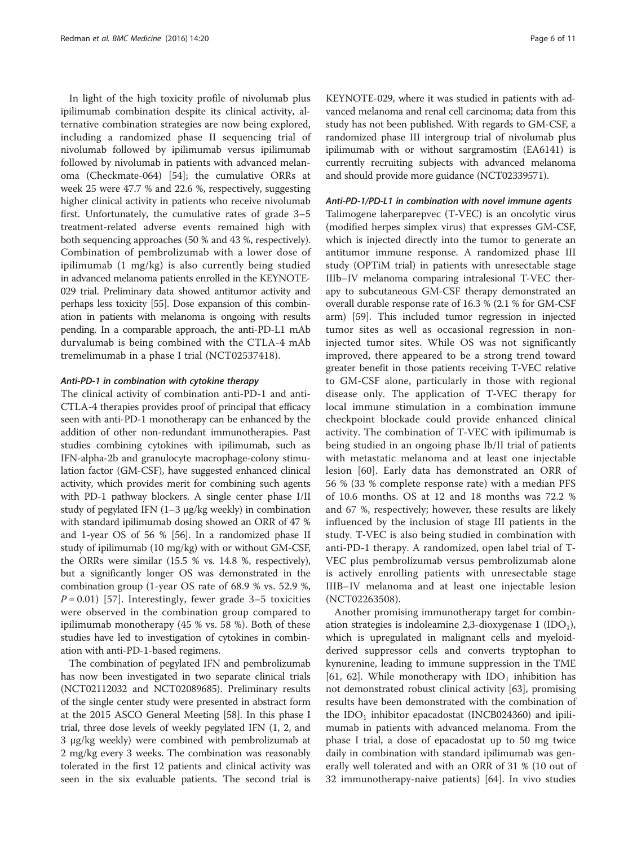In light of the high toxicity profile of nivolumab plus ipilimumab combination despite its clinical activity, alternative combination strategies are now being explored, including a randomized phase II sequencing trial of nivolumab followed by ipilimumab versus ipilimumab followed by nivolumab in patients with advanced melanoma (Checkmate-064) [[54\]](#page-9-0); the cumulative ORRs at week 25 were 47.7 % and 22.6 %, respectively, suggesting higher clinical activity in patients who receive nivolumab first. Unfortunately, the cumulative rates of grade 3–5 treatment-related adverse events remained high with both sequencing approaches (50 % and 43 %, respectively). Combination of pembrolizumab with a lower dose of ipilimumab (1 mg/kg) is also currently being studied in advanced melanoma patients enrolled in the KEYNOTE-029 trial. Preliminary data showed antitumor activity and perhaps less toxicity [[55](#page-9-0)]. Dose expansion of this combination in patients with melanoma is ongoing with results pending. In a comparable approach, the anti-PD-L1 mAb durvalumab is being combined with the CTLA-4 mAb tremelimumab in a phase I trial (NCT02537418).

#### Anti-PD-1 in combination with cytokine therapy

The clinical activity of combination anti-PD-1 and anti-CTLA-4 therapies provides proof of principal that efficacy seen with anti-PD-1 monotherapy can be enhanced by the addition of other non-redundant immunotherapies. Past studies combining cytokines with ipilimumab, such as IFN-alpha-2b and granulocyte macrophage-colony stimulation factor (GM-CSF), have suggested enhanced clinical activity, which provides merit for combining such agents with PD-1 pathway blockers. A single center phase I/II study of pegylated IFN (1–3 μg/kg weekly) in combination with standard ipilimumab dosing showed an ORR of 47 % and 1-year OS of 56 % [\[56](#page-9-0)]. In a randomized phase II study of ipilimumab (10 mg/kg) with or without GM-CSF, the ORRs were similar (15.5 % vs. 14.8 %, respectively), but a significantly longer OS was demonstrated in the combination group (1-year OS rate of 68.9 % vs. 52.9 %,  $P = 0.01$ ) [\[57](#page-9-0)]. Interestingly, fewer grade 3–5 toxicities were observed in the combination group compared to ipilimumab monotherapy (45 % vs. 58 %). Both of these studies have led to investigation of cytokines in combination with anti-PD-1-based regimens.

The combination of pegylated IFN and pembrolizumab has now been investigated in two separate clinical trials (NCT02112032 and NCT02089685). Preliminary results of the single center study were presented in abstract form at the 2015 ASCO General Meeting [[58](#page-9-0)]. In this phase I trial, three dose levels of weekly pegylated IFN (1, 2, and 3 μg/kg weekly) were combined with pembrolizumab at 2 mg/kg every 3 weeks. The combination was reasonably tolerated in the first 12 patients and clinical activity was seen in the six evaluable patients. The second trial is

KEYNOTE-029, where it was studied in patients with advanced melanoma and renal cell carcinoma; data from this study has not been published. With regards to GM-CSF, a randomized phase III intergroup trial of nivolumab plus ipilimumab with or without sargramostim (EA6141) is currently recruiting subjects with advanced melanoma and should provide more guidance (NCT02339571).

#### Anti-PD-1/PD-L1 in combination with novel immune agents

Talimogene laherparepvec (T-VEC) is an oncolytic virus (modified herpes simplex virus) that expresses GM-CSF, which is injected directly into the tumor to generate an antitumor immune response. A randomized phase III study (OPTiM trial) in patients with unresectable stage IIIb–IV melanoma comparing intralesional T-VEC therapy to subcutaneous GM-CSF therapy demonstrated an overall durable response rate of 16.3 % (2.1 % for GM-CSF arm) [[59](#page-9-0)]. This included tumor regression in injected tumor sites as well as occasional regression in noninjected tumor sites. While OS was not significantly improved, there appeared to be a strong trend toward greater benefit in those patients receiving T-VEC relative to GM-CSF alone, particularly in those with regional disease only. The application of T-VEC therapy for local immune stimulation in a combination immune checkpoint blockade could provide enhanced clinical activity. The combination of T-VEC with ipilimumab is being studied in an ongoing phase Ib/II trial of patients with metastatic melanoma and at least one injectable lesion [[60\]](#page-9-0). Early data has demonstrated an ORR of 56 % (33 % complete response rate) with a median PFS of 10.6 months. OS at 12 and 18 months was 72.2 % and 67 %, respectively; however, these results are likely influenced by the inclusion of stage III patients in the study. T-VEC is also being studied in combination with anti-PD-1 therapy. A randomized, open label trial of T-VEC plus pembrolizumab versus pembrolizumab alone is actively enrolling patients with unresectable stage IIIB–IV melanoma and at least one injectable lesion (NCT02263508).

Another promising immunotherapy target for combination strategies is indoleamine 2,3-dioxygenase 1 (IDO<sub>1</sub>), which is upregulated in malignant cells and myeloidderived suppressor cells and converts tryptophan to kynurenine, leading to immune suppression in the TME [[61, 62](#page-9-0)]. While monotherapy with  $IDO<sub>1</sub>$  inhibition has not demonstrated robust clinical activity [[63\]](#page-9-0), promising results have been demonstrated with the combination of the  $IDO<sub>1</sub>$  inhibitor epacadostat (INCB024360) and ipilimumab in patients with advanced melanoma. From the phase I trial, a dose of epacadostat up to 50 mg twice daily in combination with standard ipilimumab was generally well tolerated and with an ORR of 31 % (10 out of 32 immunotherapy-naive patients) [[64](#page-10-0)]. In vivo studies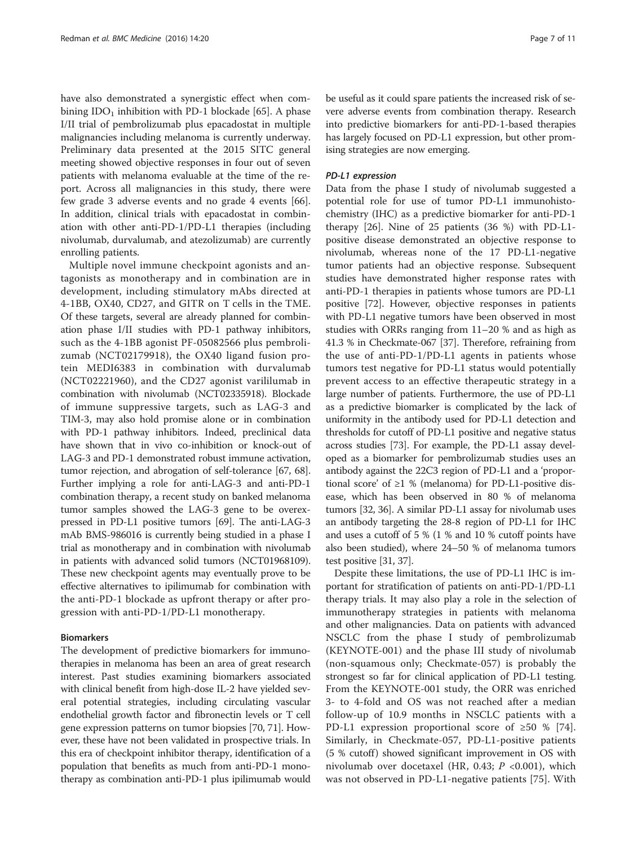have also demonstrated a synergistic effect when combining  $IDO<sub>1</sub>$  inhibition with PD-1 blockade [[65](#page-10-0)]. A phase I/II trial of pembrolizumab plus epacadostat in multiple malignancies including melanoma is currently underway. Preliminary data presented at the 2015 SITC general meeting showed objective responses in four out of seven patients with melanoma evaluable at the time of the report. Across all malignancies in this study, there were few grade 3 adverse events and no grade 4 events [\[66](#page-10-0)]. In addition, clinical trials with epacadostat in combination with other anti-PD-1/PD-L1 therapies (including nivolumab, durvalumab, and atezolizumab) are currently enrolling patients.

Multiple novel immune checkpoint agonists and antagonists as monotherapy and in combination are in development, including stimulatory mAbs directed at 4-1BB, OX40, CD27, and GITR on T cells in the TME. Of these targets, several are already planned for combination phase I/II studies with PD-1 pathway inhibitors, such as the 4-1BB agonist PF-05082566 plus pembrolizumab (NCT02179918), the OX40 ligand fusion protein MEDI6383 in combination with durvalumab (NCT02221960), and the CD27 agonist varililumab in combination with nivolumab (NCT02335918). Blockade of immune suppressive targets, such as LAG-3 and TIM-3, may also hold promise alone or in combination with PD-1 pathway inhibitors. Indeed, preclinical data have shown that in vivo co-inhibition or knock-out of LAG-3 and PD-1 demonstrated robust immune activation, tumor rejection, and abrogation of self-tolerance [[67](#page-10-0), [68](#page-10-0)]. Further implying a role for anti-LAG-3 and anti-PD-1 combination therapy, a recent study on banked melanoma tumor samples showed the LAG-3 gene to be overexpressed in PD-L1 positive tumors [\[69](#page-10-0)]. The anti-LAG-3 mAb BMS-986016 is currently being studied in a phase I trial as monotherapy and in combination with nivolumab in patients with advanced solid tumors (NCT01968109). These new checkpoint agents may eventually prove to be effective alternatives to ipilimumab for combination with the anti-PD-1 blockade as upfront therapy or after progression with anti-PD-1/PD-L1 monotherapy.

#### Biomarkers

The development of predictive biomarkers for immunotherapies in melanoma has been an area of great research interest. Past studies examining biomarkers associated with clinical benefit from high-dose IL-2 have yielded several potential strategies, including circulating vascular endothelial growth factor and fibronectin levels or T cell gene expression patterns on tumor biopsies [\[70, 71\]](#page-10-0). However, these have not been validated in prospective trials. In this era of checkpoint inhibitor therapy, identification of a population that benefits as much from anti-PD-1 monotherapy as combination anti-PD-1 plus ipilimumab would be useful as it could spare patients the increased risk of severe adverse events from combination therapy. Research into predictive biomarkers for anti-PD-1-based therapies has largely focused on PD-L1 expression, but other promising strategies are now emerging.

#### PD-L1 expression

Data from the phase I study of nivolumab suggested a potential role for use of tumor PD-L1 immunohistochemistry (IHC) as a predictive biomarker for anti-PD-1 therapy [\[26](#page-9-0)]. Nine of 25 patients (36 %) with PD-L1 positive disease demonstrated an objective response to nivolumab, whereas none of the 17 PD-L1-negative tumor patients had an objective response. Subsequent studies have demonstrated higher response rates with anti-PD-1 therapies in patients whose tumors are PD-L1 positive [\[72](#page-10-0)]. However, objective responses in patients with PD-L1 negative tumors have been observed in most studies with ORRs ranging from 11–20 % and as high as 41.3 % in Checkmate-067 [\[37](#page-9-0)]. Therefore, refraining from the use of anti-PD-1/PD-L1 agents in patients whose tumors test negative for PD-L1 status would potentially prevent access to an effective therapeutic strategy in a large number of patients. Furthermore, the use of PD-L1 as a predictive biomarker is complicated by the lack of uniformity in the antibody used for PD-L1 detection and thresholds for cutoff of PD-L1 positive and negative status across studies [[73](#page-10-0)]. For example, the PD-L1 assay developed as a biomarker for pembrolizumab studies uses an antibody against the 22C3 region of PD-L1 and a 'proportional score' of ≥1 % (melanoma) for PD-L1-positive disease, which has been observed in 80 % of melanoma tumors [\[32, 36](#page-9-0)]. A similar PD-L1 assay for nivolumab uses an antibody targeting the 28-8 region of PD-L1 for IHC and uses a cutoff of 5 % (1 % and 10 % cutoff points have also been studied), where 24–50 % of melanoma tumors test positive [[31](#page-9-0), [37\]](#page-9-0).

Despite these limitations, the use of PD-L1 IHC is important for stratification of patients on anti-PD-1/PD-L1 therapy trials. It may also play a role in the selection of immunotherapy strategies in patients with melanoma and other malignancies. Data on patients with advanced NSCLC from the phase I study of pembrolizumab (KEYNOTE-001) and the phase III study of nivolumab (non-squamous only; Checkmate-057) is probably the strongest so far for clinical application of PD-L1 testing. From the KEYNOTE-001 study, the ORR was enriched 3- to 4-fold and OS was not reached after a median follow-up of 10.9 months in NSCLC patients with a PD-L1 expression proportional score of ≥50 % [\[74](#page-10-0)]. Similarly, in Checkmate-057, PD-L1-positive patients  $(5 % cut off)$  showed significant improvement in OS with nivolumab over docetaxel (HR, 0.43;  $P \lt 0.001$ ), which was not observed in PD-L1-negative patients [[75\]](#page-10-0). With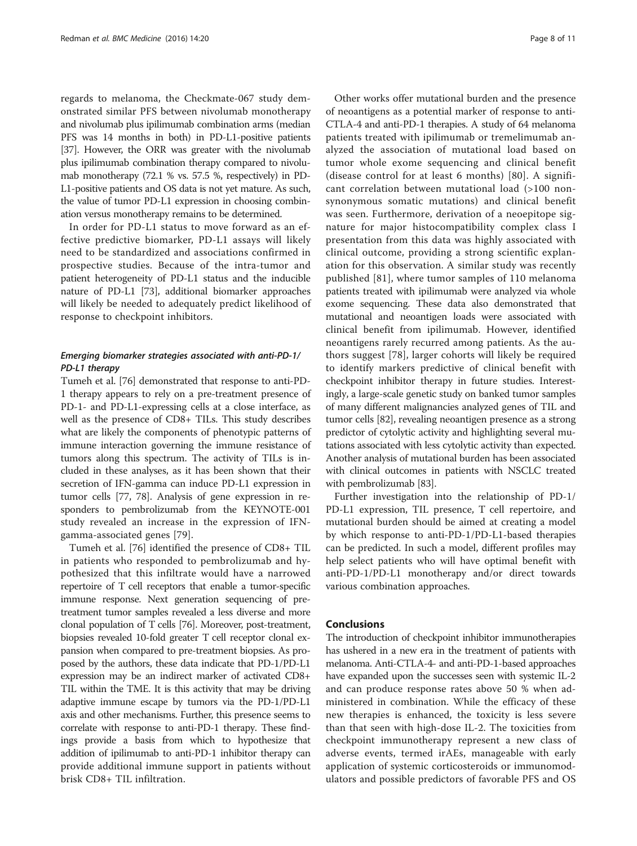regards to melanoma, the Checkmate-067 study demonstrated similar PFS between nivolumab monotherapy and nivolumab plus ipilimumab combination arms (median PFS was 14 months in both) in PD-L1-positive patients [[37](#page-9-0)]. However, the ORR was greater with the nivolumab plus ipilimumab combination therapy compared to nivolumab monotherapy (72.1 % vs. 57.5 %, respectively) in PD-L1-positive patients and OS data is not yet mature. As such, the value of tumor PD-L1 expression in choosing combination versus monotherapy remains to be determined.

In order for PD-L1 status to move forward as an effective predictive biomarker, PD-L1 assays will likely need to be standardized and associations confirmed in prospective studies. Because of the intra-tumor and patient heterogeneity of PD-L1 status and the inducible nature of PD-L1 [[73](#page-10-0)], additional biomarker approaches will likely be needed to adequately predict likelihood of response to checkpoint inhibitors.

## Emerging biomarker strategies associated with anti-PD-1/ PD-L1 therapy

Tumeh et al. [\[76\]](#page-10-0) demonstrated that response to anti-PD-1 therapy appears to rely on a pre-treatment presence of PD-1- and PD-L1-expressing cells at a close interface, as well as the presence of CD8+ TILs. This study describes what are likely the components of phenotypic patterns of immune interaction governing the immune resistance of tumors along this spectrum. The activity of TILs is included in these analyses, as it has been shown that their secretion of IFN-gamma can induce PD-L1 expression in tumor cells [\[77, 78](#page-10-0)]. Analysis of gene expression in responders to pembrolizumab from the KEYNOTE-001 study revealed an increase in the expression of IFNgamma-associated genes [\[79](#page-10-0)].

Tumeh et al. [[76\]](#page-10-0) identified the presence of CD8+ TIL in patients who responded to pembrolizumab and hypothesized that this infiltrate would have a narrowed repertoire of T cell receptors that enable a tumor-specific immune response. Next generation sequencing of pretreatment tumor samples revealed a less diverse and more clonal population of T cells [\[76\]](#page-10-0). Moreover, post-treatment, biopsies revealed 10-fold greater T cell receptor clonal expansion when compared to pre-treatment biopsies. As proposed by the authors, these data indicate that PD-1/PD-L1 expression may be an indirect marker of activated CD8+ TIL within the TME. It is this activity that may be driving adaptive immune escape by tumors via the PD-1/PD-L1 axis and other mechanisms. Further, this presence seems to correlate with response to anti-PD-1 therapy. These findings provide a basis from which to hypothesize that addition of ipilimumab to anti-PD-1 inhibitor therapy can provide additional immune support in patients without brisk CD8+ TIL infiltration.

Other works offer mutational burden and the presence of neoantigens as a potential marker of response to anti-CTLA-4 and anti-PD-1 therapies. A study of 64 melanoma patients treated with ipilimumab or tremelimumab analyzed the association of mutational load based on tumor whole exome sequencing and clinical benefit (disease control for at least 6 months) [[80\]](#page-10-0). A significant correlation between mutational load (>100 nonsynonymous somatic mutations) and clinical benefit was seen. Furthermore, derivation of a neoepitope signature for major histocompatibility complex class I presentation from this data was highly associated with clinical outcome, providing a strong scientific explanation for this observation. A similar study was recently published [[81](#page-10-0)], where tumor samples of 110 melanoma patients treated with ipilimumab were analyzed via whole exome sequencing. These data also demonstrated that mutational and neoantigen loads were associated with clinical benefit from ipilimumab. However, identified neoantigens rarely recurred among patients. As the authors suggest [[78\]](#page-10-0), larger cohorts will likely be required to identify markers predictive of clinical benefit with checkpoint inhibitor therapy in future studies. Interestingly, a large-scale genetic study on banked tumor samples of many different malignancies analyzed genes of TIL and tumor cells [\[82\]](#page-10-0), revealing neoantigen presence as a strong predictor of cytolytic activity and highlighting several mutations associated with less cytolytic activity than expected. Another analysis of mutational burden has been associated with clinical outcomes in patients with NSCLC treated with pembrolizumab [\[83](#page-10-0)].

Further investigation into the relationship of PD-1/ PD-L1 expression, TIL presence, T cell repertoire, and mutational burden should be aimed at creating a model by which response to anti-PD-1/PD-L1-based therapies can be predicted. In such a model, different profiles may help select patients who will have optimal benefit with anti-PD-1/PD-L1 monotherapy and/or direct towards various combination approaches.

#### Conclusions

The introduction of checkpoint inhibitor immunotherapies has ushered in a new era in the treatment of patients with melanoma. Anti-CTLA-4- and anti-PD-1-based approaches have expanded upon the successes seen with systemic IL-2 and can produce response rates above 50 % when administered in combination. While the efficacy of these new therapies is enhanced, the toxicity is less severe than that seen with high-dose IL-2. The toxicities from checkpoint immunotherapy represent a new class of adverse events, termed irAEs, manageable with early application of systemic corticosteroids or immunomodulators and possible predictors of favorable PFS and OS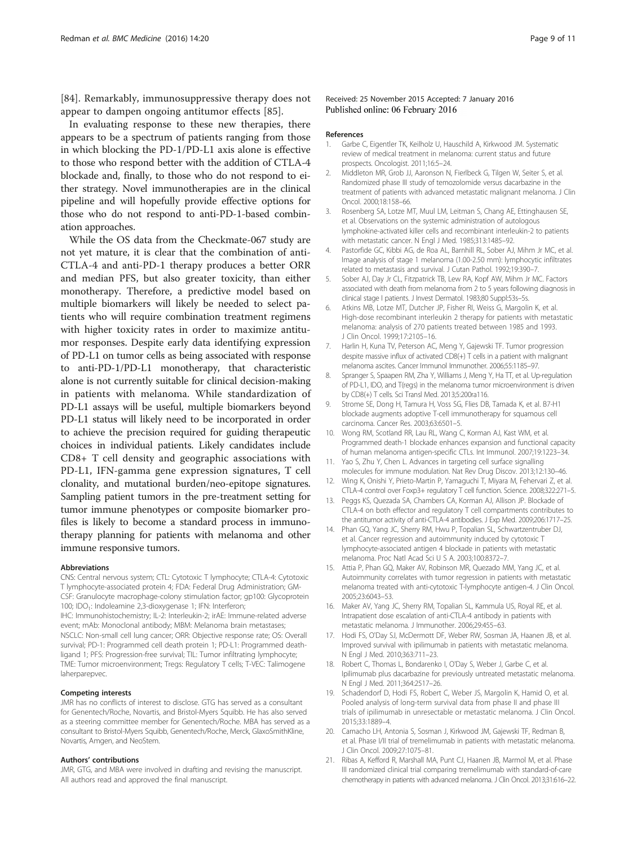<span id="page-8-0"></span>[[84\]](#page-10-0). Remarkably, immunosuppressive therapy does not appear to dampen ongoing antitumor effects [[85\]](#page-10-0).

In evaluating response to these new therapies, there appears to be a spectrum of patients ranging from those in which blocking the PD-1/PD-L1 axis alone is effective to those who respond better with the addition of CTLA-4 blockade and, finally, to those who do not respond to either strategy. Novel immunotherapies are in the clinical pipeline and will hopefully provide effective options for those who do not respond to anti-PD-1-based combination approaches.

While the OS data from the Checkmate-067 study are not yet mature, it is clear that the combination of anti-CTLA-4 and anti-PD-1 therapy produces a better ORR and median PFS, but also greater toxicity, than either monotherapy. Therefore, a predictive model based on multiple biomarkers will likely be needed to select patients who will require combination treatment regimens with higher toxicity rates in order to maximize antitumor responses. Despite early data identifying expression of PD-L1 on tumor cells as being associated with response to anti-PD-1/PD-L1 monotherapy, that characteristic alone is not currently suitable for clinical decision-making in patients with melanoma. While standardization of PD-L1 assays will be useful, multiple biomarkers beyond PD-L1 status will likely need to be incorporated in order to achieve the precision required for guiding therapeutic choices in individual patients. Likely candidates include CD8+ T cell density and geographic associations with PD-L1, IFN-gamma gene expression signatures, T cell clonality, and mutational burden/neo-epitope signatures. Sampling patient tumors in the pre-treatment setting for tumor immune phenotypes or composite biomarker profiles is likely to become a standard process in immunotherapy planning for patients with melanoma and other immune responsive tumors.

#### Abbreviations

CNS: Central nervous system; CTL: Cytotoxic T lymphocyte; CTLA-4: Cytotoxic T lymphocyte-associated protein 4; FDA: Federal Drug Administration; GM-CSF: Granulocyte macrophage-colony stimulation factor; gp100: Glycoprotein 100; IDO<sub>1</sub>: Indoleamine 2,3-dioxygenase 1; IFN: Interferon;

IHC: Immunohistochemistry; IL-2: Interleukin-2; irAE: Immune-related adverse event; mAb: Monoclonal antibody; MBM: Melanoma brain metastases; NSCLC: Non-small cell lung cancer; ORR: Objective response rate; OS: Overall survival; PD-1: Programmed cell death protein 1; PD-L1: Programmed deathligand 1; PFS: Progression-free survival; TIL: Tumor infiltrating lymphocyte; TME: Tumor microenvironment; Tregs: Regulatory T cells; T-VEC: Talimogene laherparepvec.

#### Competing interests

JMR has no conflicts of interest to disclose. GTG has served as a consultant for Genentech/Roche, Novartis, and Bristol-Myers Squibb. He has also served as a steering committee member for Genentech/Roche. MBA has served as a consultant to Bristol-Myers Squibb, Genentech/Roche, Merck, GlaxoSmithKline, Novartis, Amgen, and NeoStem.

#### Authors' contributions

JMR, GTG, and MBA were involved in drafting and revising the manuscript. All authors read and approved the final manuscript.

Received: 25 November 2015 Accepted: 7 January 2016 Published online: 06 February 2016

#### References

- 1. Garbe C, Eigentler TK, Keilholz U, Hauschild A, Kirkwood JM. Systematic review of medical treatment in melanoma: current status and future prospects. Oncologist. 2011;16:5–24.
- 2. Middleton MR, Grob JJ, Aaronson N, Fierlbeck G, Tilgen W, Seiter S, et al. Randomized phase III study of temozolomide versus dacarbazine in the treatment of patients with advanced metastatic malignant melanoma. J Clin Oncol. 2000;18:158–66.
- 3. Rosenberg SA, Lotze MT, Muul LM, Leitman S, Chang AE, Ettinghausen SE, et al. Observations on the systemic administration of autologous lymphokine-activated killer cells and recombinant interleukin-2 to patients with metastatic cancer. N Engl J Med. 1985;313:1485–92.
- 4. Pastorfide GC, Kibbi AG, de Roa AL, Barnhill RL, Sober AJ, Mihm Jr MC, et al. Image analysis of stage 1 melanoma (1.00-2.50 mm): lymphocytic infiltrates related to metastasis and survival. J Cutan Pathol. 1992;19:390–7.
- 5. Sober AJ, Day Jr CL, Fitzpatrick TB, Lew RA, Kopf AW, Mihm Jr MC. Factors associated with death from melanoma from 2 to 5 years following diagnosis in clinical stage I patients. J Invest Dermatol. 1983;80 Suppl:53s–5s.
- 6. Atkins MB, Lotze MT, Dutcher JP, Fisher RI, Weiss G, Margolin K, et al. High-dose recombinant interleukin 2 therapy for patients with metastatic melanoma: analysis of 270 patients treated between 1985 and 1993. J Clin Oncol. 1999;17:2105–16.
- 7. Harlin H, Kuna TV, Peterson AC, Meng Y, Gajewski TF. Tumor progression despite massive influx of activated CD8(+) T cells in a patient with malignant melanoma ascites. Cancer Immunol Immunother. 2006;55:1185–97.
- 8. Spranger S, Spaapen RM, Zha Y, Williams J, Meng Y, Ha TT, et al. Up-regulation of PD-L1, IDO, and T(regs) in the melanoma tumor microenvironment is driven by CD8(+) T cells. Sci Transl Med. 2013;5:200ra116.
- 9. Strome SE, Dong H, Tamura H, Voss SG, Flies DB, Tamada K, et al. B7-H1 blockade augments adoptive T-cell immunotherapy for squamous cell carcinoma. Cancer Res. 2003;63:6501–5.
- 10. Wong RM, Scotland RR, Lau RL, Wang C, Korman AJ, Kast WM, et al. Programmed death-1 blockade enhances expansion and functional capacity of human melanoma antigen-specific CTLs. Int Immunol. 2007;19:1223–34.
- 11. Yao S, Zhu Y, Chen L. Advances in targeting cell surface signalling molecules for immune modulation. Nat Rev Drug Discov. 2013;12:130–46.
- 12. Wing K, Onishi Y, Prieto-Martin P, Yamaguchi T, Miyara M, Fehervari Z, et al. CTLA-4 control over Foxp3+ regulatory T cell function. Science. 2008;322:271–5.
- 13. Peggs KS, Quezada SA, Chambers CA, Korman AJ, Allison JP. Blockade of CTLA-4 on both effector and regulatory T cell compartments contributes to the antitumor activity of anti-CTLA-4 antibodies. J Exp Med. 2009;206:1717–25.
- 14. Phan GQ, Yang JC, Sherry RM, Hwu P, Topalian SL, Schwartzentruber DJ, et al. Cancer regression and autoimmunity induced by cytotoxic T lymphocyte-associated antigen 4 blockade in patients with metastatic melanoma. Proc Natl Acad Sci U S A. 2003;100:8372–7.
- 15. Attia P, Phan GQ, Maker AV, Robinson MR, Quezado MM, Yang JC, et al. Autoimmunity correlates with tumor regression in patients with metastatic melanoma treated with anti-cytotoxic T-lymphocyte antigen-4. J Clin Oncol. 2005;23:6043–53.
- 16. Maker AV, Yang JC, Sherry RM, Topalian SL, Kammula US, Royal RE, et al. Intrapatient dose escalation of anti-CTLA-4 antibody in patients with metastatic melanoma. J Immunother. 2006;29:455–63.
- 17. Hodi FS, O'Day SJ, McDermott DF, Weber RW, Sosman JA, Haanen JB, et al. Improved survival with ipilimumab in patients with metastatic melanoma. N Engl J Med. 2010;363:711–23.
- 18. Robert C, Thomas L, Bondarenko I, O'Day S, Weber J, Garbe C, et al. Ipilimumab plus dacarbazine for previously untreated metastatic melanoma. N Engl J Med. 2011;364:2517–26.
- 19. Schadendorf D, Hodi FS, Robert C, Weber JS, Margolin K, Hamid O, et al. Pooled analysis of long-term survival data from phase II and phase III trials of ipilimumab in unresectable or metastatic melanoma. J Clin Oncol. 2015;33:1889–4.
- 20. Camacho LH, Antonia S, Sosman J, Kirkwood JM, Gajewski TF, Redman B, et al. Phase I/II trial of tremelimumab in patients with metastatic melanoma. J Clin Oncol. 2009;27:1075–81.
- 21. Ribas A, Kefford R, Marshall MA, Punt CJ, Haanen JB, Marmol M, et al. Phase III randomized clinical trial comparing tremelimumab with standard-of-care chemotherapy in patients with advanced melanoma. J Clin Oncol. 2013;31:616–22.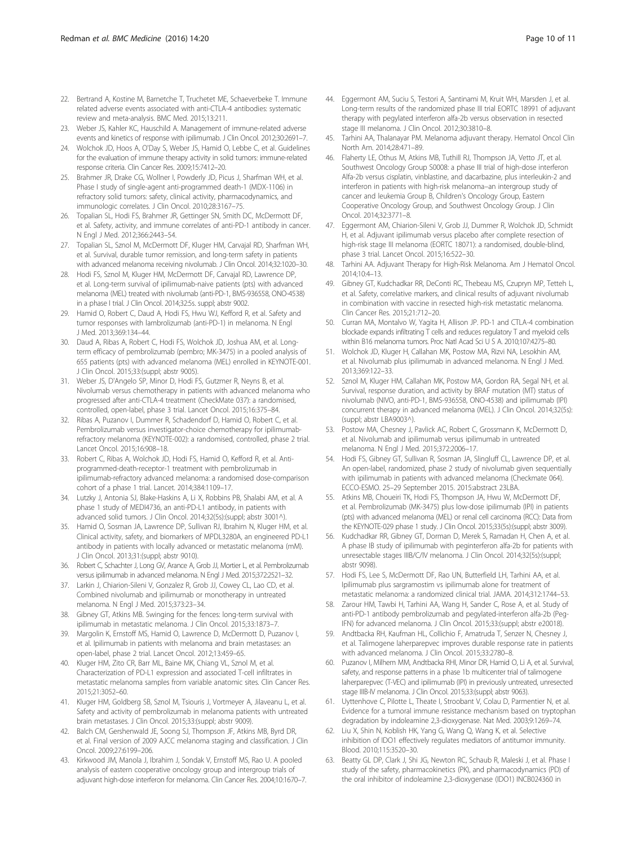- <span id="page-9-0"></span>22. Bertrand A, Kostine M, Barnetche T, Truchetet ME, Schaeverbeke T. Immune related adverse events associated with anti-CTLA-4 antibodies: systematic review and meta-analysis. BMC Med. 2015;13:211.
- 23. Weber JS, Kahler KC, Hauschild A. Management of immune-related adverse events and kinetics of response with ipilimumab. J Clin Oncol. 2012;30:2691–7.
- 24. Wolchok JD, Hoos A, O'Day S, Weber JS, Hamid O, Lebbe C, et al. Guidelines for the evaluation of immune therapy activity in solid tumors: immune-related response criteria. Clin Cancer Res. 2009;15:7412–20.
- 25. Brahmer JR, Drake CG, Wollner I, Powderly JD, Picus J, Sharfman WH, et al. Phase I study of single-agent anti-programmed death-1 (MDX-1106) in refractory solid tumors: safety, clinical activity, pharmacodynamics, and immunologic correlates. J Clin Oncol. 2010;28:3167–75.
- 26. Topalian SL, Hodi FS, Brahmer JR, Gettinger SN, Smith DC, McDermott DF, et al. Safety, activity, and immune correlates of anti-PD-1 antibody in cancer. N Engl J Med. 2012;366:2443–54.
- 27. Topalian SL, Sznol M, McDermott DF, Kluger HM, Carvajal RD, Sharfman WH, et al. Survival, durable tumor remission, and long-term safety in patients with advanced melanoma receiving nivolumab. J Clin Oncol. 2014;32:1020–30.
- 28. Hodi FS, Sznol M, Kluger HM, McDermott DF, Carvajal RD, Lawrence DP, et al. Long-term survival of ipilimumab-naive patients (pts) with advanced melanoma (MEL) treated with nivolumab (anti-PD-1, BMS-936558, ONO-4538) in a phase I trial. J Clin Oncol. 2014;32:5s. suppl; abstr 9002.
- 29. Hamid O, Robert C, Daud A, Hodi FS, Hwu WJ, Kefford R, et al. Safety and tumor responses with lambrolizumab (anti-PD-1) in melanoma. N Engl J Med. 2013;369:134–44.
- 30. Daud A, Ribas A, Robert C, Hodi FS, Wolchok JD, Joshua AM, et al. Longterm efficacy of pembrolizumab (pembro; MK-3475) in a pooled analysis of 655 patients (pts) with advanced melanoma (MEL) enrolled in KEYNOTE-001. J Clin Oncol. 2015;33:(suppl; abstr 9005).
- 31. Weber JS, D'Angelo SP, Minor D, Hodi FS, Gutzmer R, Neyns B, et al. Nivolumab versus chemotherapy in patients with advanced melanoma who progressed after anti-CTLA-4 treatment (CheckMate 037): a randomised, controlled, open-label, phase 3 trial. Lancet Oncol. 2015;16:375–84.
- 32. Ribas A, Puzanov I, Dummer R, Schadendorf D, Hamid O, Robert C, et al. Pembrolizumab versus investigator-choice chemotherapy for ipilimumabrefractory melanoma (KEYNOTE-002): a randomised, controlled, phase 2 trial. Lancet Oncol. 2015;16:908–18.
- 33. Robert C, Ribas A, Wolchok JD, Hodi FS, Hamid O, Kefford R, et al. Antiprogrammed-death-receptor-1 treatment with pembrolizumab in ipilimumab-refractory advanced melanoma: a randomised dose-comparison cohort of a phase 1 trial. Lancet. 2014;384:1109–17.
- 34. Lutzky J, Antonia SJ, Blake-Haskins A, Li X, Robbins PB, Shalabi AM, et al. A phase 1 study of MEDI4736, an anti-PD-L1 antibody, in patients with advanced solid tumors. J Clin Oncol. 2014;32(5s):(suppl; abstr 3001^).
- 35. Hamid O, Sosman JA, Lawrence DP, Sullivan RJ, Ibrahim N, Kluger HM, et al. Clinical activity, safety, and biomarkers of MPDL3280A, an engineered PD-L1 antibody in patients with locally advanced or metastatic melanoma (mM). J Clin Oncol. 2013;31:(suppl; abstr 9010).
- 36. Robert C, Schachter J, Long GV, Arance A, Grob JJ, Mortier L, et al. Pembrolizumab versus ipilimumab in advanced melanoma. N Engl J Med. 2015;372:2521–32.
- 37. Larkin J, Chiarion-Sileni V, Gonzalez R, Grob JJ, Cowey CL, Lao CD, et al. Combined nivolumab and ipilimumab or monotherapy in untreated melanoma. N Engl J Med. 2015;373:23–34.
- Gibney GT, Atkins MB. Swinging for the fences: long-term survival with ipilimumab in metastatic melanoma. J Clin Oncol. 2015;33:1873–7.
- 39. Margolin K, Ernstoff MS, Hamid O, Lawrence D, McDermott D, Puzanov I, et al. Ipilimumab in patients with melanoma and brain metastases: an open-label, phase 2 trial. Lancet Oncol. 2012;13:459–65.
- 40. Kluger HM, Zito CR, Barr ML, Baine MK, Chiang VL, Sznol M, et al. Characterization of PD-L1 expression and associated T-cell infiltrates in metastatic melanoma samples from variable anatomic sites. Clin Cancer Res. 2015;21:3052–60.
- 41. Kluger HM, Goldberg SB, Sznol M, Tsiouris J, Vortmeyer A, Jilaveanu L, et al. Safety and activity of pembrolizumab in melanoma patients with untreated brain metastases. J Clin Oncol. 2015;33:(suppl; abstr 9009).
- 42. Balch CM, Gershenwald JE, Soong SJ, Thompson JF, Atkins MB, Byrd DR, et al. Final version of 2009 AJCC melanoma staging and classification. J Clin Oncol. 2009;27:6199–206.
- 43. Kirkwood JM, Manola J, Ibrahim J, Sondak V, Ernstoff MS, Rao U. A pooled analysis of eastern cooperative oncology group and intergroup trials of adjuvant high-dose interferon for melanoma. Clin Cancer Res. 2004;10:1670–7.
- 44. Eggermont AM, Suciu S, Testori A, Santinami M, Kruit WH, Marsden J, et al. Long-term results of the randomized phase III trial EORTC 18991 of adjuvant therapy with pegylated interferon alfa-2b versus observation in resected stage III melanoma. J Clin Oncol. 2012;30:3810–8.
- 45. Tarhini AA, Thalanayar PM. Melanoma adjuvant therapy. Hematol Oncol Clin North Am. 2014;28:471–89.
- 46. Flaherty LE, Othus M, Atkins MB, Tuthill RJ, Thompson JA, Vetto JT, et al. Southwest Oncology Group S0008: a phase III trial of high-dose interferon Alfa-2b versus cisplatin, vinblastine, and dacarbazine, plus interleukin-2 and interferon in patients with high-risk melanoma–an intergroup study of cancer and leukemia Group B, Children's Oncology Group, Eastern Cooperative Oncology Group, and Southwest Oncology Group. J Clin Oncol. 2014;32:3771–8.
- 47. Eggermont AM, Chiarion-Sileni V, Grob JJ, Dummer R, Wolchok JD, Schmidt H, et al. Adjuvant ipilimumab versus placebo after complete resection of high-risk stage III melanoma (EORTC 18071): a randomised, double-blind, phase 3 trial. Lancet Oncol. 2015;16:522–30.
- 48. Tarhini AA. Adjuvant Therapy for High-Risk Melanoma. Am J Hematol Oncol. 2014;10:4–13.
- 49. Gibney GT, Kudchadkar RR, DeConti RC, Thebeau MS, Czupryn MP, Tetteh L, et al. Safety, correlative markers, and clinical results of adjuvant nivolumab in combination with vaccine in resected high-risk metastatic melanoma. Clin Cancer Res. 2015;21:712–20.
- 50. Curran MA, Montalvo W, Yagita H, Allison JP. PD-1 and CTLA-4 combination blockade expands infiltrating T cells and reduces regulatory T and myeloid cells within B16 melanoma tumors. Proc Natl Acad Sci U S A. 2010;107:4275–80.
- 51. Wolchok JD, Kluger H, Callahan MK, Postow MA, Rizvi NA, Lesokhin AM, et al. Nivolumab plus ipilimumab in advanced melanoma. N Engl J Med. 2013;369:122–33.
- 52. Sznol M, Kluger HM, Callahan MK, Postow MA, Gordon RA, Segal NH, et al. Survival, response duration, and activity by BRAF mutation (MT) status of nivolumab (NIVO, anti-PD-1, BMS-936558, ONO-4538) and ipilimumab (IPI) concurrent therapy in advanced melanoma (MEL). J Clin Oncol. 2014;32(5s): (suppl; abstr LBA9003^).
- 53. Postow MA, Chesney J, Pavlick AC, Robert C, Grossmann K, McDermott D, et al. Nivolumab and ipilimumab versus ipilimumab in untreated melanoma. N Engl J Med. 2015;372:2006–17.
- 54. Hodi FS, Gibney GT, Sullivan R, Sosman JA, Slingluff CL, Lawrence DP, et al. An open-label, randomized, phase 2 study of nivolumab given sequentially with ipilimumab in patients with advanced melanoma (Checkmate 064). ECCO-ESMO. 25–29 September 2015. 2015:abstract 23LBA.
- 55. Atkins MB, Choueiri TK, Hodi FS, Thompson JA, Hwu W, McDermott DF, et al. Pembrolizumab (MK-3475) plus low-dose ipilimumab (IPI) in patients (pts) with advanced melanoma (MEL) or renal cell carcinoma (RCC): Data from the KEYNOTE-029 phase 1 study. J Clin Oncol. 2015;33(5s):(suppl; abstr 3009).
- 56. Kudchadkar RR, Gibney GT, Dorman D, Merek S, Ramadan H, Chen A, et al. A phase IB study of ipilimumab with peginterferon alfa-2b for patients with unresectable stages IIIB/C/IV melanoma. J Clin Oncol. 2014;32(5s):(suppl; abstr 9098).
- 57. Hodi FS, Lee S, McDermott DF, Rao UN, Butterfield LH, Tarhini AA, et al. Ipilimumab plus sargramostim vs ipilimumab alone for treatment of metastatic melanoma: a randomized clinical trial. JAMA. 2014;312:1744–53.
- 58. Zarour HM, Tawbi H, Tarhini AA, Wang H, Sander C, Rose A, et al. Study of anti-PD-1 antibody pembrolizumab and pegylated-interferon alfa-2b (Peg-IFN) for advanced melanoma. J Clin Oncol. 2015;33:(suppl; abstr e20018).
- 59. Andtbacka RH, Kaufman HL, Collichio F, Amatruda T, Senzer N, Chesney J, et al. Talimogene laherparepvec improves durable response rate in patients with advanced melanoma. J Clin Oncol. 2015;33:2780–8.
- 60. Puzanov I, Milhem MM, Andtbacka RHI, Minor DR, Hamid O, Li A, et al. Survival, safety, and response patterns in a phase 1b multicenter trial of talimogene laherparepvec (T-VEC) and ipilimumab (IPI) in previously untreated, unresected stage IIIB-IV melanoma. J Clin Oncol. 2015;33:(suppl; abstr 9063).
- 61. Uyttenhove C, Pilotte L, Theate I, Stroobant V, Colau D, Parmentier N, et al. Evidence for a tumoral immune resistance mechanism based on tryptophan degradation by indoleamine 2,3-dioxygenase. Nat Med. 2003;9:1269–74.
- 62. Liu X, Shin N, Koblish HK, Yang G, Wang Q, Wang K, et al. Selective inhibition of IDO1 effectively regulates mediators of antitumor immunity. Blood. 2010;115:3520–30.
- 63. Beatty GL DP, Clark J, Shi JG, Newton RC, Schaub R, Maleski J, et al. Phase I study of the safety, pharmacokinetics (PK), and pharmacodynamics (PD) of the oral inhibitor of indoleamine 2,3-dioxygenase (IDO1) INCB024360 in